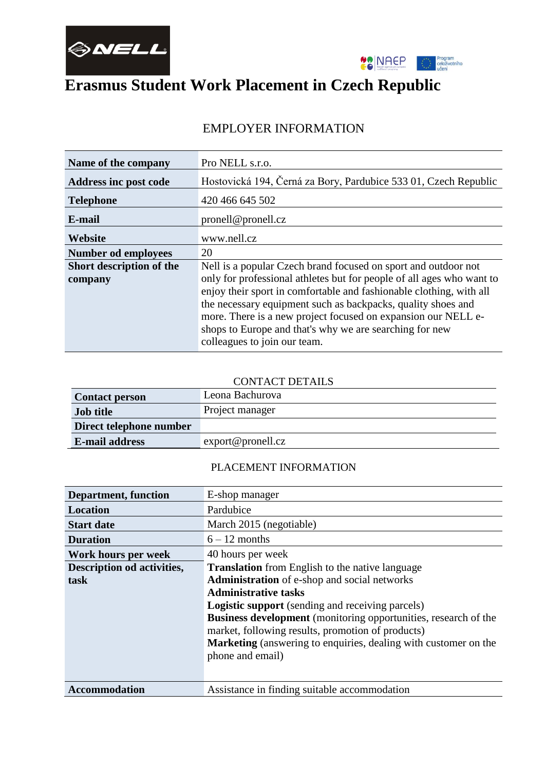



# **Erasmus Student Work Placement in Czech Republic**

### **Name of the company** Pro NELL s.r.o. **Address inc post code** Hostovická 194, Černá za Bory, Pardubice 533 01, Czech Republic **Telephone** 420 466 645 502 **E-mail** pronell@pronell.cz **Website** www.nell.cz **Number od employees** 20 **Short description of the company** Nell is a popular Czech brand focused on sport and outdoor not only for professional athletes but for people of all ages who want to enjoy their sport in comfortable and fashionable clothing, with all the necessary equipment such as backpacks, quality shoes and more. There is a new project focused on expansion our NELL eshops to Europe and that's why we are searching for new colleagues to join our team.

# EMPLOYER INFORMATION

#### CONTACT DETAILS

| <b>Contact person</b>   | Leona Bachurova        |
|-------------------------|------------------------|
| <b>Job title</b>        | Project manager        |
| Direct telephone number |                        |
| <b>E-mail address</b>   | $\exp{ort@pronell.cz}$ |

#### PLACEMENT INFORMATION

| <b>Department, function</b>       | E-shop manager                                                         |
|-----------------------------------|------------------------------------------------------------------------|
|                                   |                                                                        |
| Location                          | Pardubice                                                              |
| <b>Start date</b>                 | March 2015 (negotiable)                                                |
| <b>Duration</b>                   | $6 - 12$ months                                                        |
| Work hours per week               | 40 hours per week                                                      |
| <b>Description od activities,</b> | <b>Translation</b> from English to the native language                 |
| task                              | <b>Administration</b> of e-shop and social networks                    |
|                                   | <b>Administrative tasks</b>                                            |
|                                   | <b>Logistic support</b> (sending and receiving parcels)                |
|                                   | <b>Business development</b> (monitoring opportunities, research of the |
|                                   | market, following results, promotion of products)                      |
|                                   | <b>Marketing</b> (answering to enquiries, dealing with customer on the |
|                                   | phone and email)                                                       |
|                                   |                                                                        |
|                                   |                                                                        |
| <b>Accommodation</b>              | Assistance in finding suitable accommodation                           |